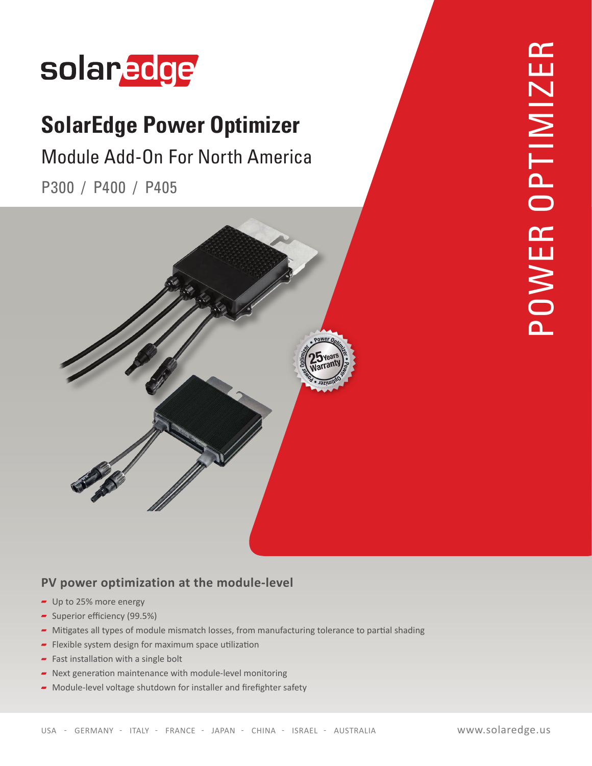

## **SolarEdge Power Optimizer**

## Module Add-On For North America

P300 / P400 / P405



### **PV power optimization at the module-level**

- $-$  Up to 25% more energy
- Superior efficiency (99.5%)
- Mitigates all types of module mismatch losses, from manufacturing tolerance to partial shading
- $\blacksquare$  Flexible system design for maximum space utilization
- Fast installation with a single bolt
- $\blacksquare$  Next generation maintenance with module-level monitoring
- $\blacktriangleright$  Module-level voltage shutdown for installer and firefighter safety